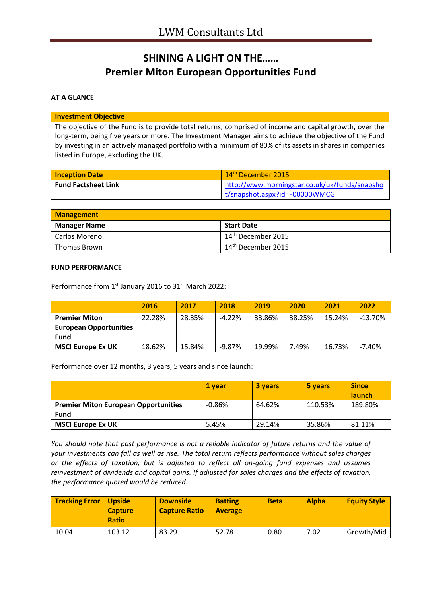# **SHINING A LIGHT ON THE…… Premier Miton European Opportunities Fund**

### **AT A GLANCE**

#### **Investment Objective**

The objective of the Fund is to provide total returns, comprised of income and capital growth, over the long-term, being five years or more. The Investment Manager aims to achieve the objective of the Fund by investing in an actively managed portfolio with a minimum of 80% of its assets in shares in companies listed in Europe, excluding the UK.

| <b>Inception Date</b>      | 14 <sup>th</sup> December 2015                |
|----------------------------|-----------------------------------------------|
| <b>Fund Factsheet Link</b> | http://www.morningstar.co.uk/uk/funds/snapsho |
|                            | t/snapshot.aspx?id=F00000WMCG                 |

| <b>Management</b>   |                                |
|---------------------|--------------------------------|
| <b>Manager Name</b> | Start Date                     |
| Carlos Moreno       | 14 <sup>th</sup> December 2015 |
| l Thomas Brown      | $14^{\text{th}}$ December 2015 |

#### **FUND PERFORMANCE**

Performance from 1<sup>st</sup> January 2016 to 31<sup>st</sup> March 2022:

|                               | 2016   | 2017   | 2018     | 2019   | 2020   | 2021   | 2022       |
|-------------------------------|--------|--------|----------|--------|--------|--------|------------|
| <b>Premier Miton</b>          | 22.28% | 28.35% | $-4.22%$ | 33.86% | 38.25% | 15.24% | $-13.70\%$ |
| <b>European Opportunities</b> |        |        |          |        |        |        |            |
| <b>Fund</b>                   |        |        |          |        |        |        |            |
| <b>MSCI Europe Ex UK</b>      | 18.62% | 15.84% | -9.87%   | 19.99% | 7.49%  | 16.73% | $-7.40%$   |

Performance over 12 months, 3 years, 5 years and since launch:

|                                             | 1 vear   | 3 years | 5 years | <b>Since</b><br><b>launch</b> |
|---------------------------------------------|----------|---------|---------|-------------------------------|
| <b>Premier Miton European Opportunities</b> | $-0.86%$ | 64.62%  | 110.53% | 189.80%                       |
| <b>Fund</b>                                 |          |         |         |                               |
| <b>MSCI Europe Ex UK</b>                    | 5.45%    | 29.14%  | 35.86%  | 81.11%                        |

*You should note that past performance is not a reliable indicator of future returns and the value of your investments can fall as well as rise. The total return reflects performance without sales charges or the effects of taxation, but is adjusted to reflect all on-going fund expenses and assumes reinvestment of dividends and capital gains. If adjusted for sales charges and the effects of taxation, the performance quoted would be reduced.*

| <b>Tracking Error   Upside</b> | <b>Capture</b><br><b>Ratio</b> | <b>Downside</b><br><b>Capture Ratio</b> | <b>Batting</b><br><b>Average</b> | <b>Beta</b> | <b>Alpha</b> | <b>Equity Style</b> |
|--------------------------------|--------------------------------|-----------------------------------------|----------------------------------|-------------|--------------|---------------------|
| 10.04                          | 103.12                         | 83.29                                   | 52.78                            | 0.80        | 7.02         | Growth/Mid          |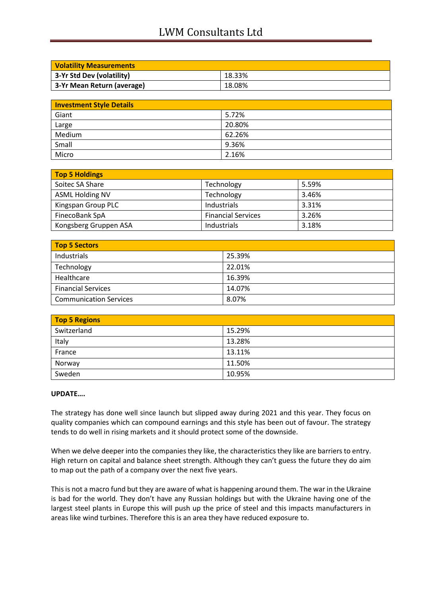## LWM Consultants Ltd

| <b>Volatility Measurements</b> |        |
|--------------------------------|--------|
| 3-Yr Std Dev (volatility)      | 18.33% |
| 3-Yr Mean Return (average)     | 18.08% |

| <b>Investment Style Details</b> |        |
|---------------------------------|--------|
| Giant                           | 5.72%  |
| Large                           | 20.80% |
| Medium                          | 62.26% |
| Small                           | 9.36%  |
| Micro                           | 2.16%  |

| <b>Top 5 Holdings</b>  |                           |       |
|------------------------|---------------------------|-------|
| Soitec SA Share        | Technology                | 5.59% |
| <b>ASML Holding NV</b> | Technology                | 3.46% |
| Kingspan Group PLC     | Industrials               | 3.31% |
| FinecoBank SpA         | <b>Financial Services</b> | 3.26% |
| Kongsberg Gruppen ASA  | Industrials               | 3.18% |

| Top 5 Sectors                 |        |  |
|-------------------------------|--------|--|
| Industrials                   | 25.39% |  |
| Technology                    | 22.01% |  |
| Healthcare                    | 16.39% |  |
| <b>Financial Services</b>     | 14.07% |  |
| <b>Communication Services</b> | 8.07%  |  |

| <b>Top 5 Regions</b> |        |  |
|----------------------|--------|--|
| Switzerland          | 15.29% |  |
| Italy                | 13.28% |  |
| France               | 13.11% |  |
| Norway               | 11.50% |  |
| Sweden               | 10.95% |  |

### **UPDATE….**

The strategy has done well since launch but slipped away during 2021 and this year. They focus on quality companies which can compound earnings and this style has been out of favour. The strategy tends to do well in rising markets and it should protect some of the downside.

When we delve deeper into the companies they like, the characteristics they like are barriers to entry. High return on capital and balance sheet strength. Although they can't guess the future they do aim to map out the path of a company over the next five years.

This is not a macro fund but they are aware of what is happening around them. The war in the Ukraine is bad for the world. They don't have any Russian holdings but with the Ukraine having one of the largest steel plants in Europe this will push up the price of steel and this impacts manufacturers in areas like wind turbines. Therefore this is an area they have reduced exposure to.